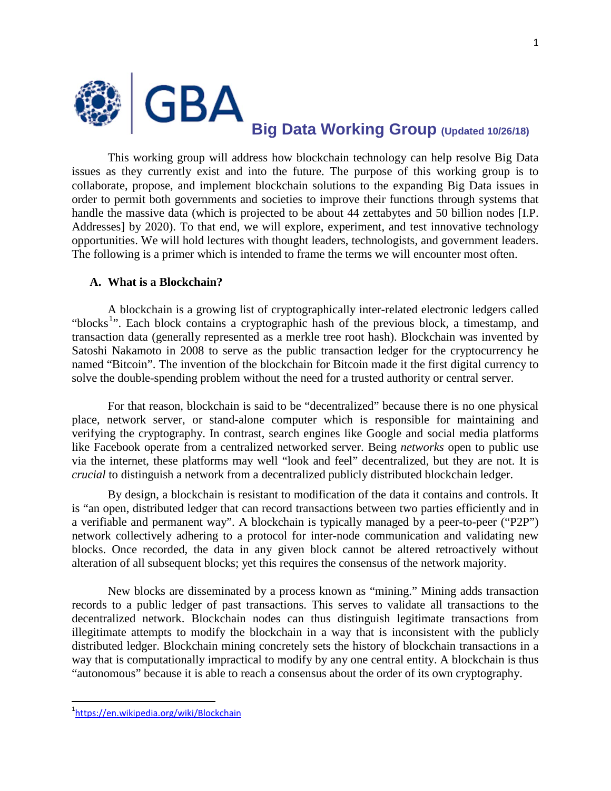

**Big Data Working Group (Updated 10/26/18)**

This working group will address how blockchain technology can help resolve Big Data issues as they currently exist and into the future. The purpose of this working group is to collaborate, propose, and implement blockchain solutions to the expanding Big Data issues in order to permit both governments and societies to improve their functions through systems that handle the massive data (which is projected to be about 44 zettabytes and 50 billion nodes [I.P. Addresses] by 2020). To that end, we will explore, experiment, and test innovative technology opportunities. We will hold lectures with thought leaders, technologists, and government leaders. The following is a primer which is intended to frame the terms we will encounter most often.

#### **A. What is a Blockchain?**

A blockchain is a growing list of cryptographically inter-related electronic ledgers called "blocks<sup>[1](#page-0-0)</sup>". Each block contains a cryptographic hash of the previous block, a timestamp, and transaction data (generally represented as a merkle tree root hash). Blockchain was invented by Satoshi Nakamoto in 2008 to serve as the public transaction ledger for the cryptocurrency he named "Bitcoin". The invention of the blockchain for Bitcoin made it the first digital currency to solve the double-spending problem without the need for a trusted authority or central server.

For that reason, blockchain is said to be "decentralized" because there is no one physical place, network server, or stand-alone computer which is responsible for maintaining and verifying the cryptography. In contrast, search engines like Google and social media platforms like Facebook operate from a centralized networked server. Being *networks* open to public use via the internet, these platforms may well "look and feel" decentralized, but they are not. It is *crucial* to distinguish a network from a decentralized publicly distributed blockchain ledger.

By design, a blockchain is resistant to modification of the data it contains and controls. It is "an open, distributed ledger that can record transactions between two parties efficiently and in a verifiable and permanent way". A blockchain is typically managed by a peer-to-peer ("P2P") network collectively adhering to a protocol for inter-node communication and validating new blocks. Once recorded, the data in any given block cannot be altered retroactively without alteration of all subsequent blocks; yet this requires the consensus of the network majority.

<span id="page-0-1"></span>New blocks are disseminated by a process known as "mining." Mining adds transaction records to a public ledger of past transactions. This serves to validate all transactions to the decentralized network. Blockchain nodes can thus distinguish legitimate transactions from illegitimate attempts to modify the blockchain in a way that is inconsistent with the publicly distributed ledger. Blockchain mining concretely sets the history of blockchain transactions in a way that is computationally impractical to modify by any one central entity. A blockchain is thus "autonomous" because it is able to reach a consensus about the order of its own cryptography.

<span id="page-0-0"></span><sup>1</sup><https://en.wikipedia.org/wiki/Blockchain>

 $\frac{1}{1}$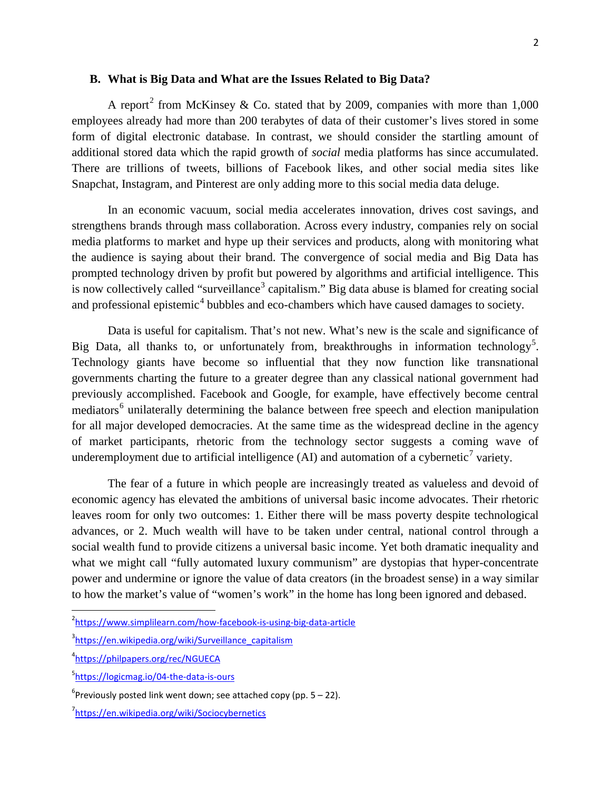#### **B. What is Big Data and What are the Issues Related to Big Data?**

A report<sup>[2](#page-0-1)</sup> from McKinsey & Co. stated that by 2009, companies with more than 1,000 employees already had more than 200 terabytes of data of their customer's lives stored in some form of digital electronic database. In contrast, we should consider the startling amount of additional stored data which the rapid growth of *social* media platforms has since accumulated. There are trillions of tweets, billions of Facebook likes, and other social media sites like Snapchat, Instagram, and Pinterest are only adding more to this social media data deluge.

In an economic vacuum, social media accelerates innovation, drives cost savings, and strengthens brands through mass collaboration. Across every industry, companies rely on social media platforms to market and hype up their services and products, along with monitoring what the audience is saying about their brand. The convergence of social media and Big Data has prompted technology driven by profit but powered by algorithms and artificial intelligence. This is now collectively called "surveillance<sup>[3](#page-1-0)</sup> capitalism." Big data abuse is blamed for creating social and professional epistemic<sup>[4](#page-1-1)</sup> bubbles and eco-chambers which have caused damages to society.

Data is useful for capitalism. That's not new. What's new is the scale and significance of Big Data, all thanks to, or unfortunately from, breakthroughs in information technology<sup>[5](#page-1-2)</sup>. Technology giants have become so influential that they now function like transnational governments charting the future to a greater degree than any classical national government had previously accomplished. Facebook and Google, for example, have effectively become central mediators<sup>[6](#page-1-3)</sup> unilaterally determining the balance between free speech and election manipulation for all major developed democracies. At the same time as the widespread decline in the agency of market participants, rhetoric from the technology sector suggests a coming wave of underemployment due to artificial intelligence (AI) and automation of a cybernetic<sup>[7](#page-1-4)</sup> variety.

The fear of a future in which people are increasingly treated as valueless and devoid of economic agency has elevated the ambitions of universal basic income advocates. Their rhetoric leaves room for only two outcomes: 1. Either there will be mass poverty despite technological advances, or 2. Much wealth will have to be taken under central, national control through a social wealth fund to provide citizens a universal basic income. Yet both dramatic inequality and what we might call "fully automated luxury communism" are dystopias that hyper-concentrate power and undermine or ignore the value of data creators (in the broadest sense) in a way similar to how the market's value of "women's work" in the home has long been ignored and debased.

<span id="page-1-5"></span> $\overline{2}$ <sup>2</sup><https://www.simplilearn.com/how-facebook-is-using-big-data-article>

<span id="page-1-0"></span><sup>&</sup>lt;sup>3</sup>[https://en.wikipedia.org/wiki/Surveillance\\_capitalism](https://en.wikipedia.org/wiki/Surveillance_capitalism)

<span id="page-1-1"></span><sup>4</sup> <https://philpapers.org/rec/NGUECA>

<span id="page-1-2"></span><sup>&</sup>lt;sup>5</sup><https://logicmag.io/04-the-data-is-ours>

<span id="page-1-3"></span> $6$ Previously posted link went down; see attached copy (pp. 5 – 22).

<span id="page-1-4"></span><sup>&</sup>lt;sup>7</sup><https://en.wikipedia.org/wiki/Sociocybernetics>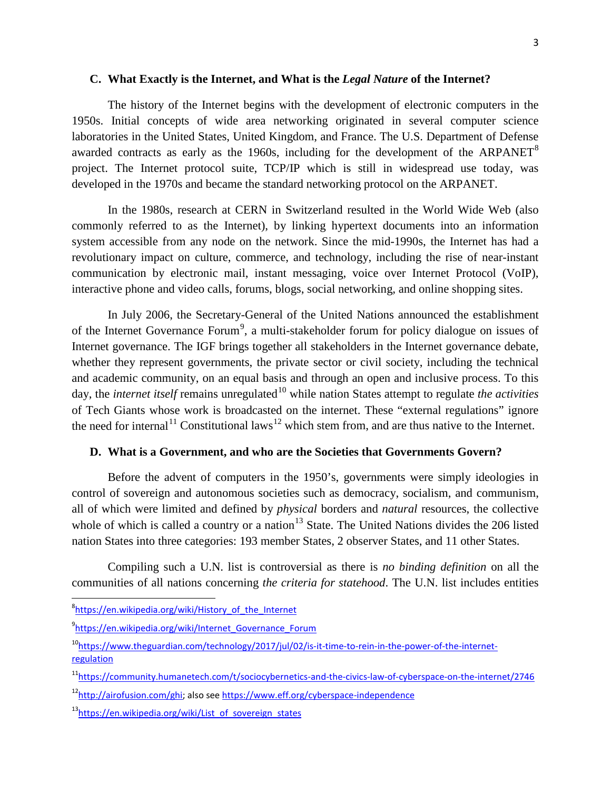### **C. What Exactly is the Internet, and What is the** *Legal Nature* **of the Internet?**

The history of the Internet begins with the development of electronic computers in the 1950s. Initial concepts of wide area networking originated in several computer science laboratories in the United States, United Kingdom, and France. The U.S. Department of Defense awarded contracts as early as the 1960s, including for the development of the ARPANET<sup>[8](#page-1-5)</sup> project. The Internet protocol suite, TCP/IP which is still in widespread use today, was developed in the 1970s and became the standard networking protocol on the ARPANET.

In the 1980s, research at CERN in Switzerland resulted in the World Wide Web (also commonly referred to as the Internet), by linking hypertext documents into an information system accessible from any node on the network. Since the mid-1990s, the Internet has had a revolutionary impact on culture, commerce, and technology, including the rise of near-instant communication by electronic mail, instant messaging, voice over Internet Protocol (VoIP), interactive phone and video calls, forums, blogs, social networking, and online shopping sites.

In July 2006, the Secretary-General of the United Nations announced the establishment of the Internet Governance Forum<sup>[9](#page-2-0)</sup>, a multi-stakeholder forum for policy dialogue on issues of Internet governance. The IGF brings together all stakeholders in the Internet governance debate, whether they represent governments, the private sector or civil society, including the technical and academic community, on an equal basis and through an open and inclusive process. To this day, the *internet itself* remains unregulated<sup>[10](#page-2-1)</sup> while nation States attempt to regulate *the activities* of Tech Giants whose work is broadcasted on the internet. These "external regulations" ignore the need for internal<sup>[11](#page-2-2)</sup> Constitutional laws<sup>[12](#page-2-3)</sup> which stem from, and are thus native to the Internet.

#### **D. What is a Government, and who are the Societies that Governments Govern?**

<span id="page-2-5"></span>Before the advent of computers in the 1950's, governments were simply ideologies in control of sovereign and autonomous societies such as democracy, socialism, and communism, all of which were limited and defined by *physical* borders and *natural* resources, the collective whole of which is called a country or a nation<sup>[13](#page-2-4)</sup> State. The United Nations divides the 206 listed nation States into three categories: 193 member States, 2 observer States, and 11 other States.

Compiling such a U.N. list is controversial as there is *no binding definition* on all the communities of all nations concerning *the criteria for statehood*. The U.N. list includes entities

<sup>-&</sup>lt;br>8  $8$ https://en.wikipedia.org/wiki/History of the Internet

<span id="page-2-0"></span><sup>9</sup>https://en.wikipedia.org/wiki/Internet Governance Forum

<span id="page-2-1"></span><sup>&</sup>lt;sup>10</sup>https://www.theguardian.com/technology/2017/jul/02/is-it-time-to-rein-in-the-power-of-the-internet[regulation](https://www.theguardian.com/technology/2017/jul/02/is-it-time-to-rein-in-the-power-of-the-internet-regulation)

<span id="page-2-2"></span>[<sup>11</sup>https://community.humanetech.com/t/sociocybernetics-and-the-civics-law-of-cyberspace-on-the-internet/2746](https://community.humanetech.com/t/sociocybernetics-and-the-civics-law-of-cyberspace-on-the-internet/2746)

<span id="page-2-3"></span><sup>&</sup>lt;sup>12</sup>http://airofusion.com/ghi; also see<https://www.eff.org/cyberspace-independence>

<span id="page-2-4"></span><sup>&</sup>lt;sup>13</sup>https://en.wikipedia.org/wiki/List\_of\_sovereign\_states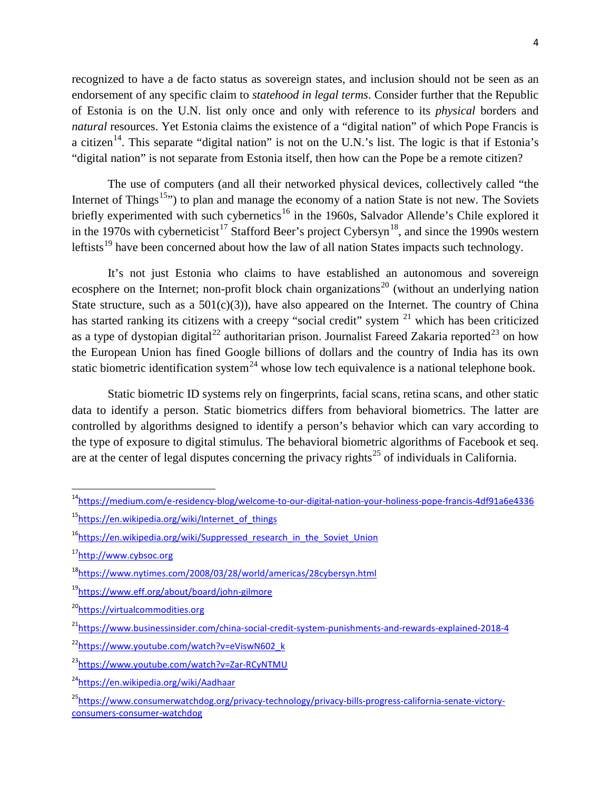recognized to have a de facto status as sovereign states, and inclusion should not be seen as an endorsement of any specific claim to *statehood in legal terms*. Consider further that the Republic of Estonia is on the U.N. list only once and only with reference to its *physical* borders and *natural* resources. Yet Estonia claims the existence of a "digital nation" of which Pope Francis is a citizen<sup>14</sup>. This separate "digital nation" is not on the U.N.'s list. The logic is that if Estonia's "digital nation" is not separate from Estonia itself, then how can the Pope be a remote citizen?

The use of computers (and all their networked physical devices, collectively called "the Internet of Things<sup>[15](#page-3-0),\*</sup>) to plan and manage the economy of a nation State is not new. The Soviets briefly experimented with such cybernetics<sup>[16](#page-3-1)</sup> in the 1960s, Salvador Allende's Chile explored it in the 1970s with cyberneticist<sup>[17](#page-3-2)</sup> Stafford Beer's project Cybersyn<sup>[18](#page-3-3)</sup>, and since the 1990s western leftists<sup>[19](#page-3-4)</sup> have been concerned about how the law of all nation States impacts such technology.

It's not just Estonia who claims to have established an autonomous and sovereign ecosphere on the Internet; non-profit block chain organizations<sup>[20](#page-3-5)</sup> (without an underlying nation State structure, such as a  $501(c)(3)$ , have also appeared on the Internet. The country of China has started ranking its citizens with a creepy "social credit" system <sup>[21](#page-3-6)</sup> which has been criticized as a type of dystopian digital<sup>[22](#page-3-7)</sup> authoritarian prison. Journalist Fareed Zakaria reported<sup>[23](#page-3-8)</sup> on how the European Union has fined Google billions of dollars and the country of India has its own static biometric identification system<sup>[24](#page-3-9)</sup> whose low tech equivalence is a national telephone book.

Static biometric ID systems rely on fingerprints, facial scans, retina scans, and other static data to identify a person. Static biometrics differs from behavioral biometrics. The latter are controlled by algorithms designed to identify a person's behavior which can vary according to the type of exposure to digital stimulus. The behavioral biometric algorithms of Facebook et seq. are at the center of legal disputes concerning the privacy rights<sup>[25](#page-3-10)</sup> of individuals in California.

[14https://medium.com/e-residency-blog/welcome-to-our-digital-nation-your-holiness-pope-francis-4df91a6e4336](https://medium.com/e-residency-blog/welcome-to-our-digital-nation-your-holiness-pope-francis-4df91a6e4336)

<span id="page-3-0"></span>[<sup>15</sup>https://en.wikipedia.org/wiki/Internet\\_of\\_things](https://en.wikipedia.org/wiki/Internet_of_things)

<span id="page-3-1"></span><sup>&</sup>lt;sup>16</sup>https://en.wikipedia.org/wiki/Suppressed research in the Soviet Union

<span id="page-3-2"></span>[<sup>17</sup>http://www.cybsoc.org](http://www.cybsoc.org/)

<span id="page-3-3"></span>[<sup>18</sup>https://www.nytimes.com/2008/03/28/world/americas/28cybersyn.html](https://www.nytimes.com/2008/03/28/world/americas/28cybersyn.html)

<span id="page-3-4"></span>[<sup>19</sup>https://www.eff.org/about/board/john-gilmore](https://www.eff.org/about/board/john-gilmore)

<span id="page-3-5"></span>[<sup>20</sup>https://virtualcommodities.org](https://virtualcommodities.org/)

<span id="page-3-6"></span><sup>&</sup>lt;sup>21</sup>https://www.businessinsider.com/china-social-credit-system-punishments-and-rewards-explained-2018-4

<span id="page-3-7"></span><sup>&</sup>lt;sup>22</sup>https://www.youtube.com/watch?v=eViswN602\_k

<span id="page-3-8"></span>[<sup>23</sup>https://www.youtube.com/watch?v=Zar-RCyNTMU](https://www.youtube.com/watch?v=Zar-RCyNTMU)

<span id="page-3-9"></span>[<sup>24</sup>https://en.wikipedia.org/wiki/Aadhaar](https://en.wikipedia.org/wiki/Aadhaar)

<span id="page-3-10"></span>[<sup>25</sup>https://www.consumerwatchdog.org/privacy-technology/privacy-bills-progress-california-senate-victory](https://www.consumerwatchdog.org/privacy-technology/privacy-bills-progress-california-senate-victory-consumers-consumer-watchdog)[consumers-consumer-watchdog](https://www.consumerwatchdog.org/privacy-technology/privacy-bills-progress-california-senate-victory-consumers-consumer-watchdog)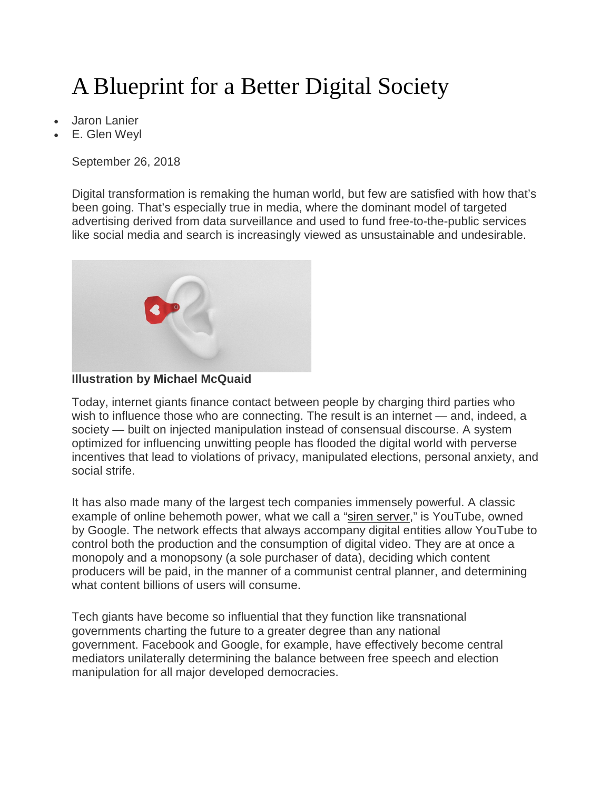# A Blueprint for a Better Digital Society

- Jaron Lanier
- E. Glen Weyl

September 26, 2018

Digital transformation is remaking the human world, but few are satisfied with how that's been going. That's especially true in media, where the dominant model of targeted advertising derived from data surveillance and used to fund free-to-the-public services like social media and search is increasingly viewed as unsustainable and undesirable.





Today, internet giants finance contact between people by charging third parties who wish to influence those who are connecting. The result is an internet — and, indeed, a society — built on injected manipulation instead of consensual discourse. A system optimized for influencing unwitting people has flooded the digital world with perverse incentives that lead to violations of privacy, manipulated elections, personal anxiety, and social strife.

It has also made many of the largest tech companies immensely powerful. A classic example of online behemoth power, what we call a ["siren server,](https://www.nytimes.com/2013/06/09/opinion/sunday/fixing-the-digital-economy.html)" is YouTube, owned by Google. The network effects that always accompany digital entities allow YouTube to control both the production and the consumption of digital video. They are at once a monopoly and a monopsony (a sole purchaser of data), deciding which content producers will be paid, in the manner of a communist central planner, and determining what content billions of users will consume.

Tech giants have become so influential that they function like transnational governments charting the future to a greater degree than any national government. Facebook and Google, for example, have effectively become central mediators unilaterally determining the balance between free speech and election manipulation for all major developed democracies.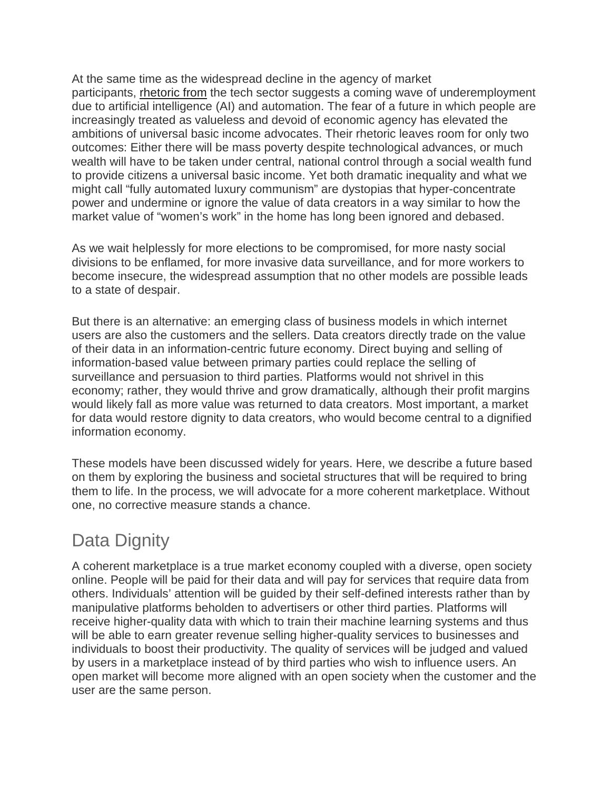At the same time as the widespread decline in the agency of market participants, [rhetoric](https://www.cnbc.com/2016/11/04/elon-musk-robots-will-take-your-jobs-government-will-have-to-pay-your-wage.html) from the tech sector suggests a coming wave of underemployment due to artificial intelligence (AI) and automation. The fear of a future in which people are increasingly treated as valueless and devoid of economic agency has elevated the ambitions of universal basic income advocates. Their rhetoric leaves room for only two outcomes: Either there will be mass poverty despite technological advances, or much wealth will have to be taken under central, national control through a social wealth fund to provide citizens a universal basic income. Yet both dramatic inequality and what we might call "fully automated luxury communism" are dystopias that hyper-concentrate power and undermine or ignore the value of data creators in a way similar to how the market value of "women's work" in the home has long been ignored and debased.

As we wait helplessly for more elections to be compromised, for more nasty social divisions to be enflamed, for more invasive data surveillance, and for more workers to become insecure, the widespread assumption that no other models are possible leads to a state of despair.

But there is an alternative: an emerging class of business models in which internet users are also the customers and the sellers. Data creators directly trade on the value of their data in an information-centric future economy. Direct buying and selling of information-based value between primary parties could replace the selling of surveillance and persuasion to third parties. Platforms would not shrivel in this economy; rather, they would thrive and grow dramatically, although their profit margins would likely fall as more value was returned to data creators. Most important, a market for data would restore dignity to data creators, who would become central to a dignified information economy.

These models have been discussed widely for years. Here, we describe a future based on them by exploring the business and societal structures that will be required to bring them to life. In the process, we will advocate for a more coherent marketplace. Without one, no corrective measure stands a chance.

# Data Dignity

A coherent marketplace is a true market economy coupled with a diverse, open society online. People will be paid for their data and will pay for services that require data from others. Individuals' attention will be guided by their self-defined interests rather than by manipulative platforms beholden to advertisers or other third parties. Platforms will receive higher-quality data with which to train their machine learning systems and thus will be able to earn greater revenue selling higher-quality services to businesses and individuals to boost their productivity. The quality of services will be judged and valued by users in a marketplace instead of by third parties who wish to influence users. An open market will become more aligned with an open society when the customer and the user are the same person.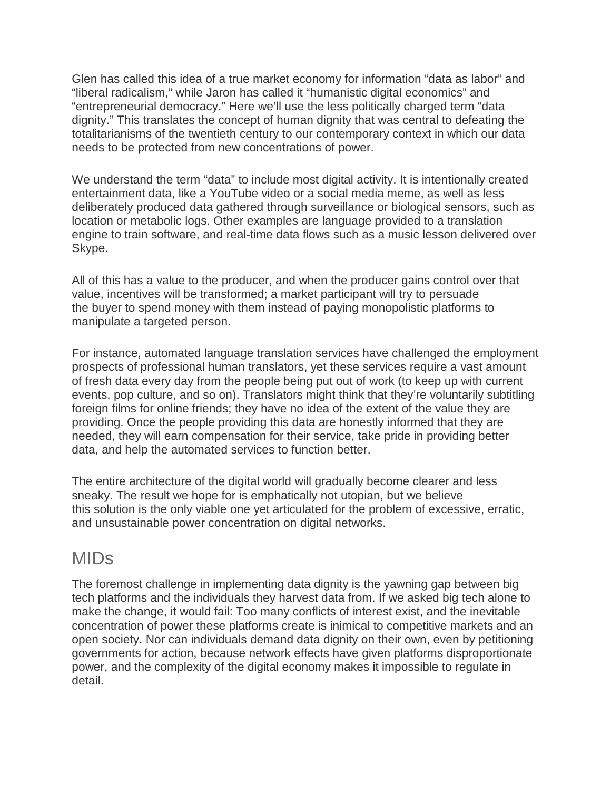Glen has called this idea of a true market economy for information "data as labor" and "liberal radicalism," while Jaron has called it "humanistic digital economics" and "entrepreneurial democracy." Here we'll use the less politically charged term "data dignity." This translates the concept of human dignity that was central to defeating the totalitarianisms of the twentieth century to our contemporary context in which our data needs to be protected from new concentrations of power.

We understand the term "data" to include most digital activity. It is intentionally created entertainment data, like a YouTube video or a social media meme, as well as less deliberately produced data gathered through surveillance or biological sensors, such as location or metabolic logs. Other examples are language provided to a translation engine to train software, and real-time data flows such as a music lesson delivered over Skype.

All of this has a value to the producer, and when the producer gains control over that value, incentives will be transformed; a market participant will try to persuade the buyer to spend money with them instead of paying monopolistic platforms to manipulate a targeted person.

For instance, automated language translation services have challenged the employment prospects of professional human translators, yet these services require a vast amount of fresh data every day from the people being put out of work (to keep up with current events, pop culture, and so on). Translators might think that they're voluntarily subtitling foreign films for online friends; they have no idea of the extent of the value they are providing. Once the people providing this data are honestly informed that they are needed, they will earn compensation for their service, take pride in providing better data, and help the automated services to function better.

The entire architecture of the digital world will gradually become clearer and less sneaky. The result we hope for is emphatically not utopian, but we believe this solution is the only viable one yet articulated for the problem of excessive, erratic, and unsustainable power concentration on digital networks.

### MIDs

The foremost challenge in implementing data dignity is the yawning gap between big tech platforms and the individuals they harvest data from. If we asked big tech alone to make the change, it would fail: Too many conflicts of interest exist, and the inevitable concentration of power these platforms create is inimical to competitive markets and an open society. Nor can individuals demand data dignity on their own, even by petitioning governments for action, because network effects have given platforms disproportionate power, and the complexity of the digital economy makes it impossible to regulate in detail.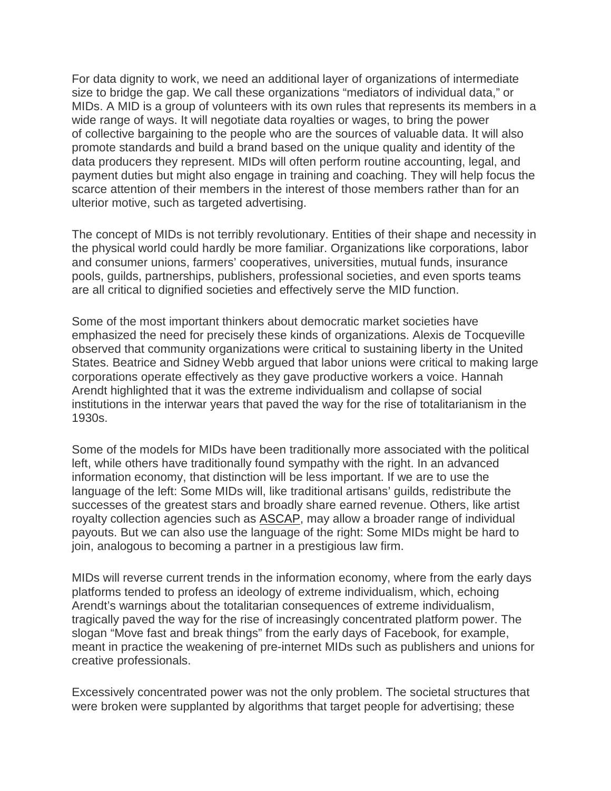For data dignity to work, we need an additional layer of organizations of intermediate size to bridge the gap. We call these organizations "mediators of individual data," or MIDs. A MID is a group of volunteers with its own rules that represents its members in a wide range of ways. It will negotiate data royalties or wages, to bring the power of collective bargaining to the people who are the sources of valuable data. It will also promote standards and build a brand based on the unique quality and identity of the data producers they represent. MIDs will often perform routine accounting, legal, and payment duties but might also engage in training and coaching. They will help focus the scarce attention of their members in the interest of those members rather than for an ulterior motive, such as targeted advertising.

The concept of MIDs is not terribly revolutionary. Entities of their shape and necessity in the physical world could hardly be more familiar. Organizations like corporations, labor and consumer unions, farmers' cooperatives, universities, mutual funds, insurance pools, guilds, partnerships, publishers, professional societies, and even sports teams are all critical to dignified societies and effectively serve the MID function.

Some of the most important thinkers about democratic market societies have emphasized the need for precisely these kinds of organizations. Alexis de Tocqueville observed that community organizations were critical to sustaining liberty in the United States. Beatrice and Sidney Webb argued that labor unions were critical to making large corporations operate effectively as they gave productive workers a voice. Hannah Arendt highlighted that it was the extreme individualism and collapse of social institutions in the interwar years that paved the way for the rise of totalitarianism in the 1930s.

Some of the models for MIDs have been traditionally more associated with the political left, while others have traditionally found sympathy with the right. In an advanced information economy, that distinction will be less important. If we are to use the language of the left: Some MIDs will, like traditional artisans' guilds, redistribute the successes of the greatest stars and broadly share earned revenue. Others, like artist royalty collection agencies such as [ASCAP,](https://www.ascap.com/) may allow a broader range of individual payouts. But we can also use the language of the right: Some MIDs might be hard to join, analogous to becoming a partner in a prestigious law firm.

MIDs will reverse current trends in the information economy, where from the early days platforms tended to profess an ideology of extreme individualism, which, echoing Arendt's warnings about the totalitarian consequences of extreme individualism, tragically paved the way for the rise of increasingly concentrated platform power. The slogan "Move fast and break things" from the early days of Facebook, for example, meant in practice the weakening of pre-internet MIDs such as publishers and unions for creative professionals.

Excessively concentrated power was not the only problem. The societal structures that were broken were supplanted by algorithms that target people for advertising; these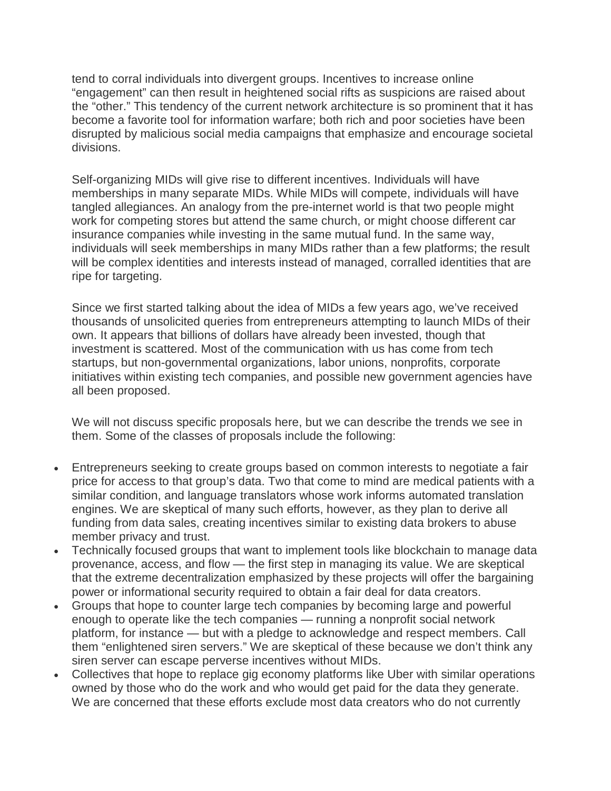tend to corral individuals into divergent groups. Incentives to increase online "engagement" can then result in heightened social rifts as suspicions are raised about the "other." This tendency of the current network architecture is so prominent that it has become a favorite tool for information warfare; both rich and poor societies have been disrupted by malicious social media campaigns that emphasize and encourage societal divisions.

Self-organizing MIDs will give rise to different incentives. Individuals will have memberships in many separate MIDs. While MIDs will compete, individuals will have tangled allegiances. An analogy from the pre-internet world is that two people might work for competing stores but attend the same church, or might choose different car insurance companies while investing in the same mutual fund. In the same way, individuals will seek memberships in many MIDs rather than a few platforms; the result will be complex identities and interests instead of managed, corralled identities that are ripe for targeting.

Since we first started talking about the idea of MIDs a few years ago, we've received thousands of unsolicited queries from entrepreneurs attempting to launch MIDs of their own. It appears that billions of dollars have already been invested, though that investment is scattered. Most of the communication with us has come from tech startups, but non-governmental organizations, labor unions, nonprofits, corporate initiatives within existing tech companies, and possible new government agencies have all been proposed.

We will not discuss specific proposals here, but we can describe the trends we see in them. Some of the classes of proposals include the following:

- Entrepreneurs seeking to create groups based on common interests to negotiate a fair price for access to that group's data. Two that come to mind are medical patients with a similar condition, and language translators whose work informs automated translation engines. We are skeptical of many such efforts, however, as they plan to derive all funding from data sales, creating incentives similar to existing data brokers to abuse member privacy and trust.
- Technically focused groups that want to implement tools like blockchain to manage data provenance, access, and flow — the first step in managing its value. We are skeptical that the extreme decentralization emphasized by these projects will offer the bargaining power or informational security required to obtain a fair deal for data creators.
- Groups that hope to counter large tech companies by becoming large and powerful enough to operate like the tech companies — running a nonprofit social network platform, for instance — but with a pledge to acknowledge and respect members. Call them "enlightened siren servers." We are skeptical of these because we don't think any siren server can escape perverse incentives without MIDs.
- Collectives that hope to replace gig economy platforms like Uber with similar operations owned by those who do the work and who would get paid for the data they generate. We are concerned that these efforts exclude most data creators who do not currently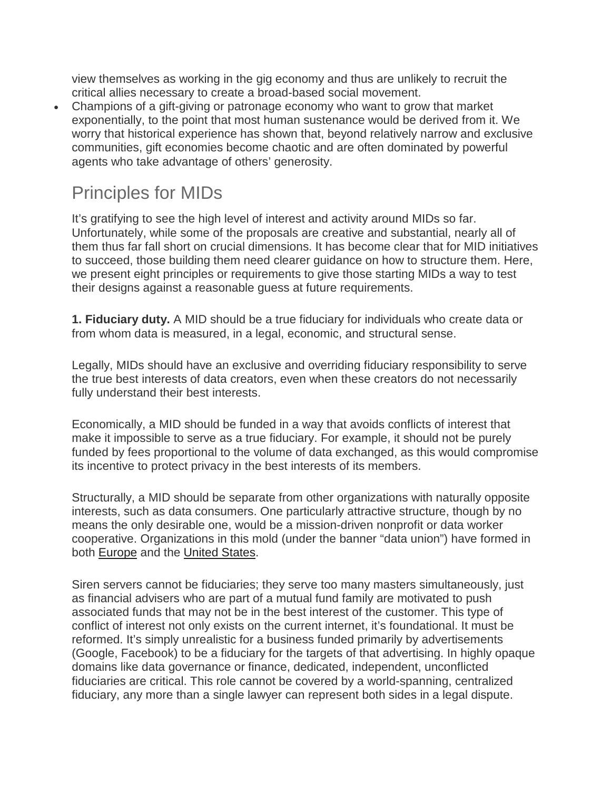view themselves as working in the gig economy and thus are unlikely to recruit the critical allies necessary to create a broad-based social movement.

• Champions of a gift-giving or patronage economy who want to grow that market exponentially, to the point that most human sustenance would be derived from it. We worry that historical experience has shown that, beyond relatively narrow and exclusive communities, gift economies become chaotic and are often dominated by powerful agents who take advantage of others' generosity.

### Principles for MIDs

It's gratifying to see the high level of interest and activity around MIDs so far. Unfortunately, while some of the proposals are creative and substantial, nearly all of them thus far fall short on crucial dimensions. It has become clear that for MID initiatives to succeed, those building them need clearer guidance on how to structure them. Here, we present eight principles or requirements to give those starting MIDs a way to test their designs against a reasonable guess at future requirements.

**1. Fiduciary duty.** A MID should be a true fiduciary for individuals who create data or from whom data is measured, in a legal, economic, and structural sense.

Legally, MIDs should have an exclusive and overriding fiduciary responsibility to serve the true best interests of data creators, even when these creators do not necessarily fully understand their best interests.

Economically, a MID should be funded in a way that avoids conflicts of interest that make it impossible to serve as a true fiduciary. For example, it should not be purely funded by fees proportional to the volume of data exchanged, as this would compromise its incentive to protect privacy in the best interests of its members.

Structurally, a MID should be separate from other organizations with naturally opposite interests, such as data consumers. One particularly attractive structure, though by no means the only desirable one, would be a mission-driven nonprofit or data worker cooperative. Organizations in this mold (under the banner "data union") have formed in both [Europe](https://thedataunion.eu/) and the [United States.](https://www.thedataunion.us/)

Siren servers cannot be fiduciaries; they serve too many masters simultaneously, just as financial advisers who are part of a mutual fund family are motivated to push associated funds that may not be in the best interest of the customer. This type of conflict of interest not only exists on the current internet, it's foundational. It must be reformed. It's simply unrealistic for a business funded primarily by advertisements (Google, Facebook) to be a fiduciary for the targets of that advertising. In highly opaque domains like data governance or finance, dedicated, independent, unconflicted fiduciaries are critical. This role cannot be covered by a world-spanning, centralized fiduciary, any more than a single lawyer can represent both sides in a legal dispute.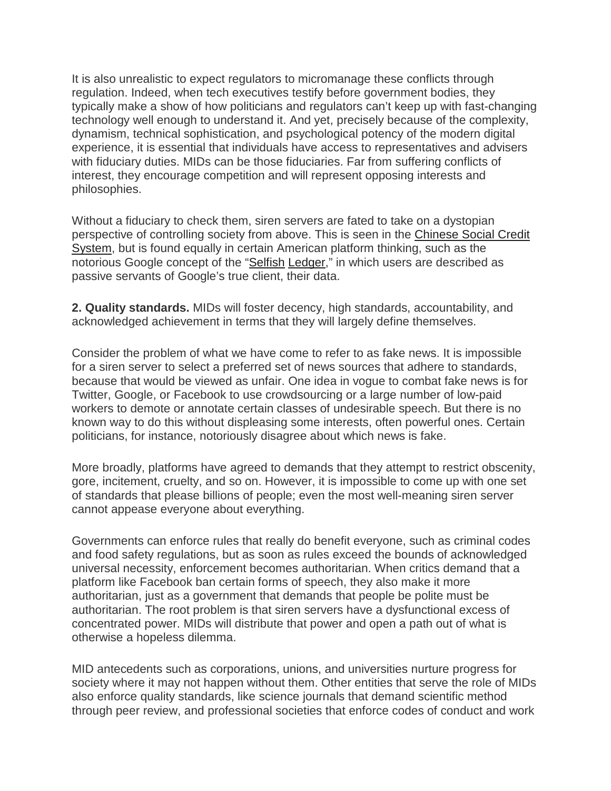It is also unrealistic to expect regulators to micromanage these conflicts through regulation. Indeed, when tech executives testify before government bodies, they typically make a show of how politicians and regulators can't keep up with fast-changing technology well enough to understand it. And yet, precisely because of the complexity, dynamism, technical sophistication, and psychological potency of the modern digital experience, it is essential that individuals have access to representatives and advisers with fiduciary duties. MIDs can be those fiduciaries. Far from suffering conflicts of interest, they encourage competition and will represent opposing interests and philosophies.

Without a fiduciary to check them, siren servers are fated to take on a dystopian perspective of controlling society from above. This is seen in the [Chinese Social Credit](https://www.bbc.com/news/world-asia-china-34592186)  [System,](https://www.bbc.com/news/world-asia-china-34592186) but is found equally in certain American platform thinking, such as the notorious Google concept of the ["Selfish](https://www.theverge.com/2018/5/17/17344250/google-x-selfish-ledger-video-data-privacy) [Ledger,](http://aibrt.org/downloads/GOOGLE-Selfish_Ledger-TRANSCRIPT.pdf)" in which users are described as passive servants of Google's true client, their data.

**2. Quality standards.** MIDs will foster decency, high standards, accountability, and acknowledged achievement in terms that they will largely define themselves.

Consider the problem of what we have come to refer to as fake news. It is impossible for a siren server to select a preferred set of news sources that adhere to standards, because that would be viewed as unfair. One idea in vogue to combat fake news is for Twitter, Google, or Facebook to use crowdsourcing or a large number of low-paid workers to demote or annotate certain classes of undesirable speech. But there is no known way to do this without displeasing some interests, often powerful ones. Certain politicians, for instance, notoriously disagree about which news is fake.

More broadly, platforms have agreed to demands that they attempt to restrict obscenity, gore, incitement, cruelty, and so on. However, it is impossible to come up with one set of standards that please billions of people; even the most well-meaning siren server cannot appease everyone about everything.

Governments can enforce rules that really do benefit everyone, such as criminal codes and food safety regulations, but as soon as rules exceed the bounds of acknowledged universal necessity, enforcement becomes authoritarian. When critics demand that a platform like Facebook ban certain forms of speech, they also make it more authoritarian, just as a government that demands that people be polite must be authoritarian. The root problem is that siren servers have a dysfunctional excess of concentrated power. MIDs will distribute that power and open a path out of what is otherwise a hopeless dilemma.

MID antecedents such as corporations, unions, and universities nurture progress for society where it may not happen without them. Other entities that serve the role of MIDs also enforce quality standards, like science journals that demand scientific method through peer review, and professional societies that enforce codes of conduct and work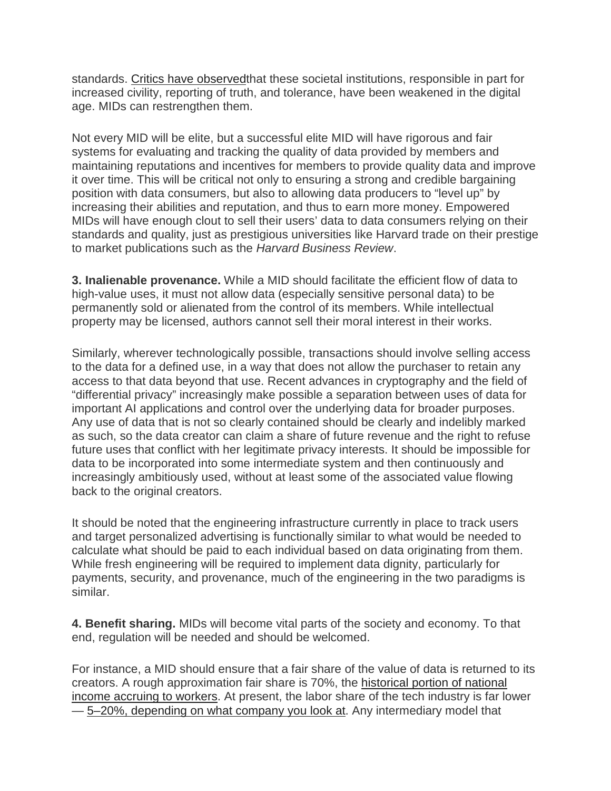standards. [Critics have observedt](https://www.penguinrandomhouse.com/books/533937/world-without-mind-by-franklin-foer/9781101981122/)hat these societal institutions, responsible in part for increased civility, reporting of truth, and tolerance, have been weakened in the digital age. MIDs can restrengthen them.

Not every MID will be elite, but a successful elite MID will have rigorous and fair systems for evaluating and tracking the quality of data provided by members and maintaining reputations and incentives for members to provide quality data and improve it over time. This will be critical not only to ensuring a strong and credible bargaining position with data consumers, but also to allowing data producers to "level up" by increasing their abilities and reputation, and thus to earn more money. Empowered MIDs will have enough clout to sell their users' data to data consumers relying on their standards and quality, just as prestigious universities like Harvard trade on their prestige to market publications such as the *Harvard Business Review*.

**3. Inalienable provenance.** While a MID should facilitate the efficient flow of data to high-value uses, it must not allow data (especially sensitive personal data) to be permanently sold or alienated from the control of its members. While intellectual property may be licensed, authors cannot sell their moral interest in their works.

Similarly, wherever technologically possible, transactions should involve selling access to the data for a defined use, in a way that does not allow the purchaser to retain any access to that data beyond that use. Recent advances in cryptography and the field of "differential privacy" increasingly make possible a separation between uses of data for important AI applications and control over the underlying data for broader purposes. Any use of data that is not so clearly contained should be clearly and indelibly marked as such, so the data creator can claim a share of future revenue and the right to refuse future uses that conflict with her legitimate privacy interests. It should be impossible for data to be incorporated into some intermediate system and then continuously and increasingly ambitiously used, without at least some of the associated value flowing back to the original creators.

It should be noted that the engineering infrastructure currently in place to track users and target personalized advertising is functionally similar to what would be needed to calculate what should be paid to each individual based on data originating from them. While fresh engineering will be required to implement data dignity, particularly for payments, security, and provenance, much of the engineering in the two paradigms is similar.

**4. Benefit sharing.** MIDs will become vital parts of the society and economy. To that end, regulation will be needed and should be welcomed.

For instance, a MID should ensure that a fair share of the value of data is returned to its creators. A rough approximation fair share is 70%, the [historical portion of national](https://academic.oup.com/qje/article-abstract/129/1/61/1899422)  [income accruing to workers.](https://academic.oup.com/qje/article-abstract/129/1/61/1899422) At present, the labor share of the tech industry is far lower — [5–20%, depending on what company you look at.](https://www.nytimes.com/interactive/2018/05/21/upshot/marx-ratio-median-pay.html) Any intermediary model that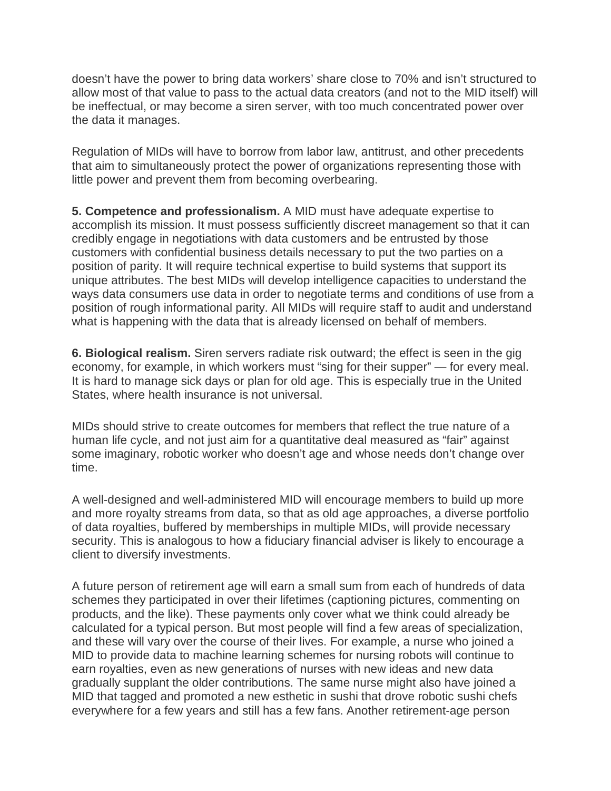doesn't have the power to bring data workers' share close to 70% and isn't structured to allow most of that value to pass to the actual data creators (and not to the MID itself) will be ineffectual, or may become a siren server, with too much concentrated power over the data it manages.

Regulation of MIDs will have to borrow from labor law, antitrust, and other precedents that aim to simultaneously protect the power of organizations representing those with little power and prevent them from becoming overbearing.

**5. Competence and professionalism.** A MID must have adequate expertise to accomplish its mission. It must possess sufficiently discreet management so that it can credibly engage in negotiations with data customers and be entrusted by those customers with confidential business details necessary to put the two parties on a position of parity. It will require technical expertise to build systems that support its unique attributes. The best MIDs will develop intelligence capacities to understand the ways data consumers use data in order to negotiate terms and conditions of use from a position of rough informational parity. All MIDs will require staff to audit and understand what is happening with the data that is already licensed on behalf of members.

**6. Biological realism.** Siren servers radiate risk outward; the effect is seen in the gig economy, for example, in which workers must "sing for their supper" — for every meal. It is hard to manage sick days or plan for old age. This is especially true in the United States, where health insurance is not universal.

MIDs should strive to create outcomes for members that reflect the true nature of a human life cycle, and not just aim for a quantitative deal measured as "fair" against some imaginary, robotic worker who doesn't age and whose needs don't change over time.

A well-designed and well-administered MID will encourage members to build up more and more royalty streams from data, so that as old age approaches, a diverse portfolio of data royalties, buffered by memberships in multiple MIDs, will provide necessary security. This is analogous to how a fiduciary financial adviser is likely to encourage a client to diversify investments.

A future person of retirement age will earn a small sum from each of hundreds of data schemes they participated in over their lifetimes (captioning pictures, commenting on products, and the like). These payments only cover what we think could already be calculated for a typical person. But most people will find a few areas of specialization, and these will vary over the course of their lives. For example, a nurse who joined a MID to provide data to machine learning schemes for nursing robots will continue to earn royalties, even as new generations of nurses with new ideas and new data gradually supplant the older contributions. The same nurse might also have joined a MID that tagged and promoted a new esthetic in sushi that drove robotic sushi chefs everywhere for a few years and still has a few fans. Another retirement-age person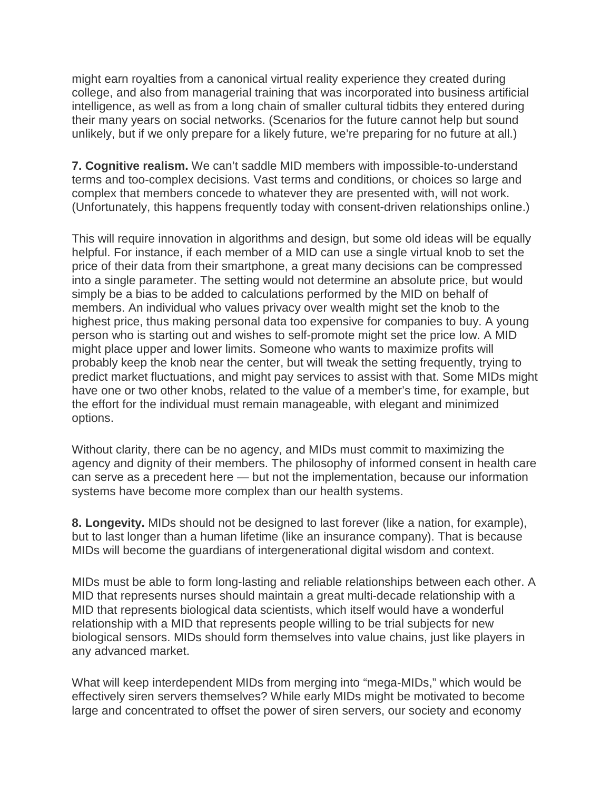might earn royalties from a canonical virtual reality experience they created during college, and also from managerial training that was incorporated into business artificial intelligence, as well as from a long chain of smaller cultural tidbits they entered during their many years on social networks. (Scenarios for the future cannot help but sound unlikely, but if we only prepare for a likely future, we're preparing for no future at all.)

**7. Cognitive realism.** We can't saddle MID members with impossible-to-understand terms and too-complex decisions. Vast terms and conditions, or choices so large and complex that members concede to whatever they are presented with, will not work. (Unfortunately, this happens frequently today with consent-driven relationships online.)

This will require innovation in algorithms and design, but some old ideas will be equally helpful. For instance, if each member of a MID can use a single virtual knob to set the price of their data from their smartphone, a great many decisions can be compressed into a single parameter. The setting would not determine an absolute price, but would simply be a bias to be added to calculations performed by the MID on behalf of members. An individual who values privacy over wealth might set the knob to the highest price, thus making personal data too expensive for companies to buy. A young person who is starting out and wishes to self-promote might set the price low. A MID might place upper and lower limits. Someone who wants to maximize profits will probably keep the knob near the center, but will tweak the setting frequently, trying to predict market fluctuations, and might pay services to assist with that. Some MIDs might have one or two other knobs, related to the value of a member's time, for example, but the effort for the individual must remain manageable, with elegant and minimized options.

Without clarity, there can be no agency, and MIDs must commit to maximizing the agency and dignity of their members. The philosophy of informed consent in health care can serve as a precedent here — but not the implementation, because our information systems have become more complex than our health systems.

**8. Longevity.** MIDs should not be designed to last forever (like a nation, for example), but to last longer than a human lifetime (like an insurance company). That is because MIDs will become the guardians of intergenerational digital wisdom and context.

MIDs must be able to form long-lasting and reliable relationships between each other. A MID that represents nurses should maintain a great multi-decade relationship with a MID that represents biological data scientists, which itself would have a wonderful relationship with a MID that represents people willing to be trial subjects for new biological sensors. MIDs should form themselves into value chains, just like players in any advanced market.

What will keep interdependent MIDs from merging into "mega-MIDs," which would be effectively siren servers themselves? While early MIDs might be motivated to become large and concentrated to offset the power of siren servers, our society and economy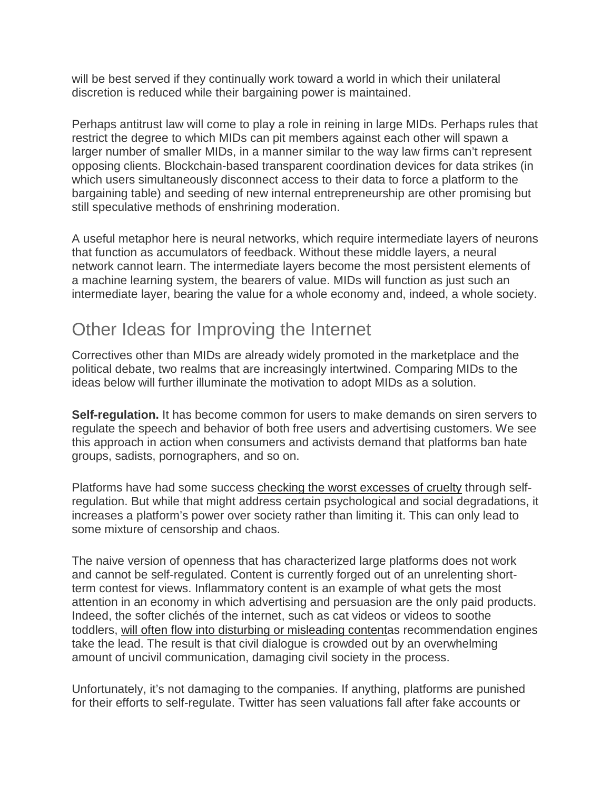will be best served if they continually work toward a world in which their unilateral discretion is reduced while their bargaining power is maintained.

Perhaps antitrust law will come to play a role in reining in large MIDs. Perhaps rules that restrict the degree to which MIDs can pit members against each other will spawn a larger number of smaller MIDs, in a manner similar to the way law firms can't represent opposing clients. Blockchain-based transparent coordination devices for data strikes (in which users simultaneously disconnect access to their data to force a platform to the bargaining table) and seeding of new internal entrepreneurship are other promising but still speculative methods of enshrining moderation.

A useful metaphor here is neural networks, which require intermediate layers of neurons that function as accumulators of feedback. Without these middle layers, a neural network cannot learn. The intermediate layers become the most persistent elements of a machine learning system, the bearers of value. MIDs will function as just such an intermediate layer, bearing the value for a whole economy and, indeed, a whole society.

## Other Ideas for Improving the Internet

Correctives other than MIDs are already widely promoted in the marketplace and the political debate, two realms that are increasingly intertwined. Comparing MIDs to the ideas below will further illuminate the motivation to adopt MIDs as a solution.

**Self-regulation.** It has become common for users to make demands on siren servers to regulate the speech and behavior of both free users and advertising customers. We see this approach in action when consumers and activists demand that platforms ban hate groups, sadists, pornographers, and so on.

Platforms have had some success [checking the worst excesses of cruelty](https://yalebooks.yale.edu/book/9780300173130/custodians-internet) through selfregulation. But while that might address certain psychological and social degradations, it increases a platform's power over society rather than limiting it. This can only lead to some mixture of censorship and chaos.

The naive version of openness that has characterized large platforms does not work and cannot be self-regulated. Content is currently forged out of an unrelenting shortterm contest for views. Inflammatory content is an example of what gets the most attention in an economy in which advertising and persuasion are the only paid products. Indeed, the softer clichés of the internet, such as cat videos or videos to soothe toddlers, [will often flow into disturbing or misleading contenta](https://www.nytimes.com/2018/03/10/opinion/sunday/youtube-politics-radical.html)s recommendation engines take the lead. The result is that civil dialogue is crowded out by an overwhelming amount of uncivil communication, damaging civil society in the process.

Unfortunately, it's not damaging to the companies. If anything, platforms are punished for their efforts to self-regulate. Twitter has seen valuations fall after fake accounts or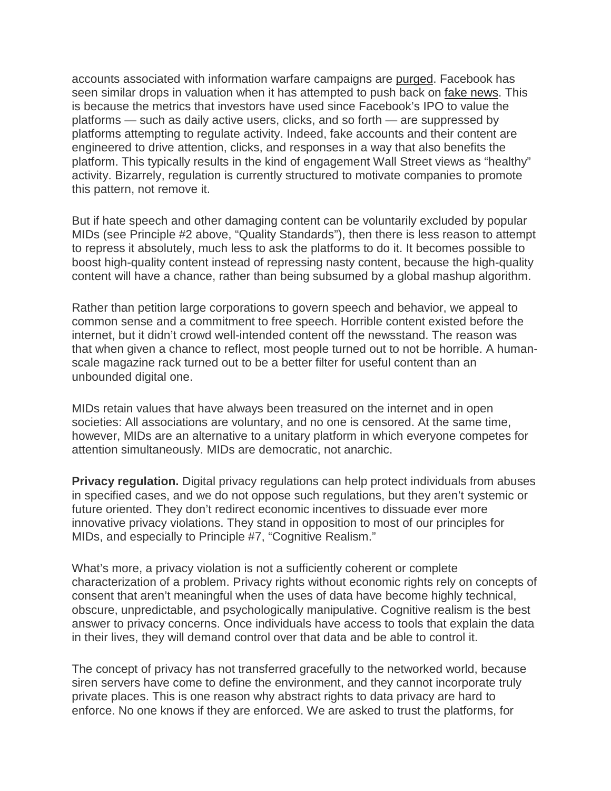accounts associated with information warfare campaigns are [purged.](https://www.usatoday.com/story/tech/news/2018/07/27/twitter-growth-slows-network-attempts-fight-spam-fake-accounts/847566002/) Facebook has seen similar drops in valuation when it has attempted to push back on [fake news.](https://www.cbsnews.com/news/facebook-stock-price-plummets-largest-stock-market-drop-in-history/) This is because the metrics that investors have used since Facebook's IPO to value the platforms — such as daily active users, clicks, and so forth — are suppressed by platforms attempting to regulate activity. Indeed, fake accounts and their content are engineered to drive attention, clicks, and responses in a way that also benefits the platform. This typically results in the kind of engagement Wall Street views as "healthy" activity. Bizarrely, regulation is currently structured to motivate companies to promote this pattern, not remove it.

But if hate speech and other damaging content can be voluntarily excluded by popular MIDs (see Principle #2 above, "Quality Standards"), then there is less reason to attempt to repress it absolutely, much less to ask the platforms to do it. It becomes possible to boost high-quality content instead of repressing nasty content, because the high-quality content will have a chance, rather than being subsumed by a global mashup algorithm.

Rather than petition large corporations to govern speech and behavior, we appeal to common sense and a commitment to free speech. Horrible content existed before the internet, but it didn't crowd well-intended content off the newsstand. The reason was that when given a chance to reflect, most people turned out to not be horrible. A humanscale magazine rack turned out to be a better filter for useful content than an unbounded digital one.

MIDs retain values that have always been treasured on the internet and in open societies: All associations are voluntary, and no one is censored. At the same time, however, MIDs are an alternative to a unitary platform in which everyone competes for attention simultaneously. MIDs are democratic, not anarchic.

**Privacy regulation.** Digital privacy regulations can help protect individuals from abuses in specified cases, and we do not oppose such regulations, but they aren't systemic or future oriented. They don't redirect economic incentives to dissuade ever more innovative privacy violations. They stand in opposition to most of our principles for MIDs, and especially to Principle #7, "Cognitive Realism."

What's more, a privacy violation is not a sufficiently coherent or complete characterization of a problem. Privacy rights without economic rights rely on concepts of consent that aren't meaningful when the uses of data have become highly technical, obscure, unpredictable, and psychologically manipulative. Cognitive realism is the best answer to privacy concerns. Once individuals have access to tools that explain the data in their lives, they will demand control over that data and be able to control it.

The concept of privacy has not transferred gracefully to the networked world, because siren servers have come to define the environment, and they cannot incorporate truly private places. This is one reason why abstract rights to data privacy are hard to enforce. No one knows if they are enforced. We are asked to trust the platforms, for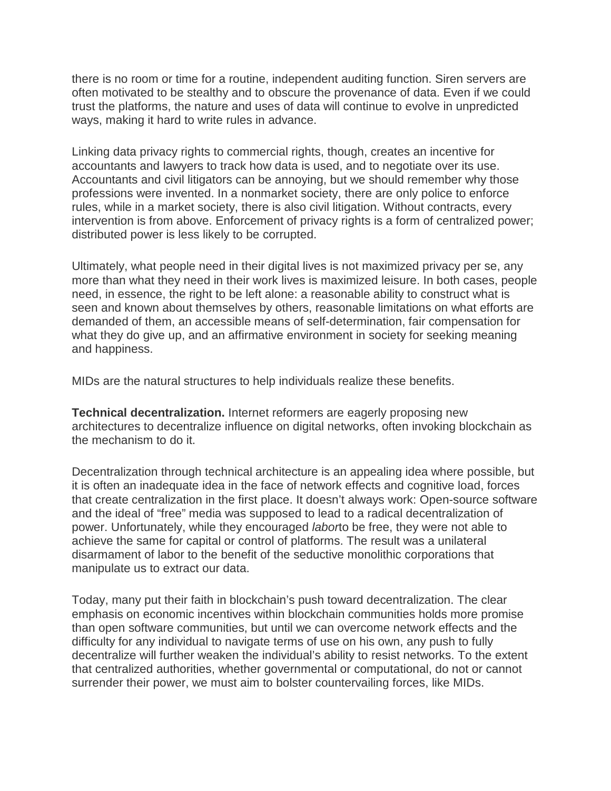there is no room or time for a routine, independent auditing function. Siren servers are often motivated to be stealthy and to obscure the provenance of data. Even if we could trust the platforms, the nature and uses of data will continue to evolve in unpredicted ways, making it hard to write rules in advance.

Linking data privacy rights to commercial rights, though, creates an incentive for accountants and lawyers to track how data is used, and to negotiate over its use. Accountants and civil litigators can be annoying, but we should remember why those professions were invented. In a nonmarket society, there are only police to enforce rules, while in a market society, there is also civil litigation. Without contracts, every intervention is from above. Enforcement of privacy rights is a form of centralized power; distributed power is less likely to be corrupted.

Ultimately, what people need in their digital lives is not maximized privacy per se, any more than what they need in their work lives is maximized leisure. In both cases, people need, in essence, the right to be left alone: a reasonable ability to construct what is seen and known about themselves by others, reasonable limitations on what efforts are demanded of them, an accessible means of self-determination, fair compensation for what they do give up, and an affirmative environment in society for seeking meaning and happiness.

MIDs are the natural structures to help individuals realize these benefits.

**Technical decentralization.** Internet reformers are eagerly proposing new architectures to decentralize influence on digital networks, often invoking blockchain as the mechanism to do it.

Decentralization through technical architecture is an appealing idea where possible, but it is often an inadequate idea in the face of network effects and cognitive load, forces that create centralization in the first place. It doesn't always work: Open-source software and the ideal of "free" media was supposed to lead to a radical decentralization of power. Unfortunately, while they encouraged *labor*to be free, they were not able to achieve the same for capital or control of platforms. The result was a unilateral disarmament of labor to the benefit of the seductive monolithic corporations that manipulate us to extract our data.

Today, many put their faith in blockchain's push toward decentralization. The clear emphasis on economic incentives within blockchain communities holds more promise than open software communities, but until we can overcome network effects and the difficulty for any individual to navigate terms of use on his own, any push to fully decentralize will further weaken the individual's ability to resist networks. To the extent that centralized authorities, whether governmental or computational, do not or cannot surrender their power, we must aim to bolster countervailing forces, like MIDs.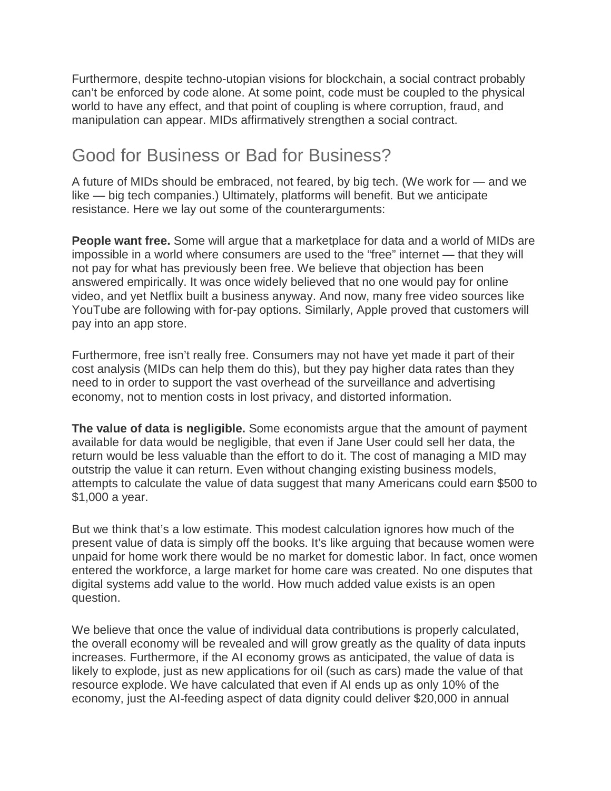Furthermore, despite techno-utopian visions for blockchain, a social contract probably can't be enforced by code alone. At some point, code must be coupled to the physical world to have any effect, and that point of coupling is where corruption, fraud, and manipulation can appear. MIDs affirmatively strengthen a social contract.

### Good for Business or Bad for Business?

A future of MIDs should be embraced, not feared, by big tech. (We work for — and we like — big tech companies.) Ultimately, platforms will benefit. But we anticipate resistance. Here we lay out some of the counterarguments:

**People want free.** Some will argue that a marketplace for data and a world of MIDs are impossible in a world where consumers are used to the "free" internet — that they will not pay for what has previously been free. We believe that objection has been answered empirically. It was once widely believed that no one would pay for online video, and yet Netflix built a business anyway. And now, many free video sources like YouTube are following with for-pay options. Similarly, Apple proved that customers will pay into an app store.

Furthermore, free isn't really free. Consumers may not have yet made it part of their cost analysis (MIDs can help them do this), but they pay higher data rates than they need to in order to support the vast overhead of the surveillance and advertising economy, not to mention costs in lost privacy, and distorted information.

**The value of data is negligible.** Some economists argue that the amount of payment available for data would be negligible, that even if Jane User could sell her data, the return would be less valuable than the effort to do it. The cost of managing a MID may outstrip the value it can return. Even without changing existing business models, attempts to calculate the value of data suggest that many Americans could earn \$500 to \$1,000 a year.

But we think that's a low estimate. This modest calculation ignores how much of the present value of data is simply off the books. It's like arguing that because women were unpaid for home work there would be no market for domestic labor. In fact, once women entered the workforce, a large market for home care was created. No one disputes that digital systems add value to the world. How much added value exists is an open question.

We believe that once the value of individual data contributions is properly calculated, the overall economy will be revealed and will grow greatly as the quality of data inputs increases. Furthermore, if the AI economy grows as anticipated, the value of data is likely to explode, just as new applications for oil (such as cars) made the value of that resource explode. We have calculated that even if AI ends up as only 10% of the economy, just the AI-feeding aspect of data dignity could deliver \$20,000 in annual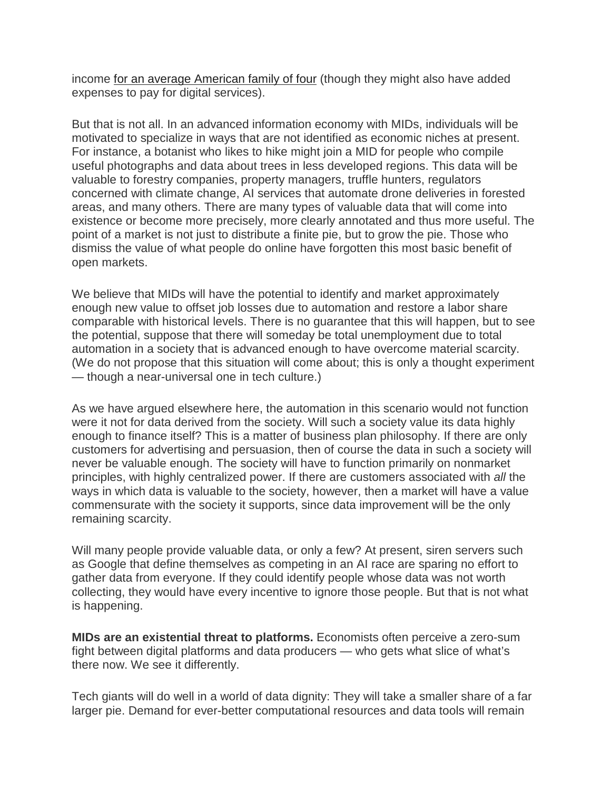income [for an average American family of four](https://www.aeaweb.org/articles?id=10.1257/pandp.20181003) (though they might also have added expenses to pay for digital services).

But that is not all. In an advanced information economy with MIDs, individuals will be motivated to specialize in ways that are not identified as economic niches at present. For instance, a botanist who likes to hike might join a MID for people who compile useful photographs and data about trees in less developed regions. This data will be valuable to forestry companies, property managers, truffle hunters, regulators concerned with climate change, AI services that automate drone deliveries in forested areas, and many others. There are many types of valuable data that will come into existence or become more precisely, more clearly annotated and thus more useful. The point of a market is not just to distribute a finite pie, but to grow the pie. Those who dismiss the value of what people do online have forgotten this most basic benefit of open markets.

We believe that MIDs will have the potential to identify and market approximately enough new value to offset job losses due to automation and restore a labor share comparable with historical levels. There is no guarantee that this will happen, but to see the potential, suppose that there will someday be total unemployment due to total automation in a society that is advanced enough to have overcome material scarcity. (We do not propose that this situation will come about; this is only a thought experiment — though a near-universal one in tech culture.)

As we have argued elsewhere here, the automation in this scenario would not function were it not for data derived from the society. Will such a society value its data highly enough to finance itself? This is a matter of business plan philosophy. If there are only customers for advertising and persuasion, then of course the data in such a society will never be valuable enough. The society will have to function primarily on nonmarket principles, with highly centralized power. If there are customers associated with *all* the ways in which data is valuable to the society, however, then a market will have a value commensurate with the society it supports, since data improvement will be the only remaining scarcity.

Will many people provide valuable data, or only a few? At present, siren servers such as Google that define themselves as competing in an AI race are sparing no effort to gather data from everyone. If they could identify people whose data was not worth collecting, they would have every incentive to ignore those people. But that is not what is happening.

**MIDs are an existential threat to platforms.** Economists often perceive a zero-sum fight between digital platforms and data producers — who gets what slice of what's there now. We see it differently.

Tech giants will do well in a world of data dignity: They will take a smaller share of a far larger pie. Demand for ever-better computational resources and data tools will remain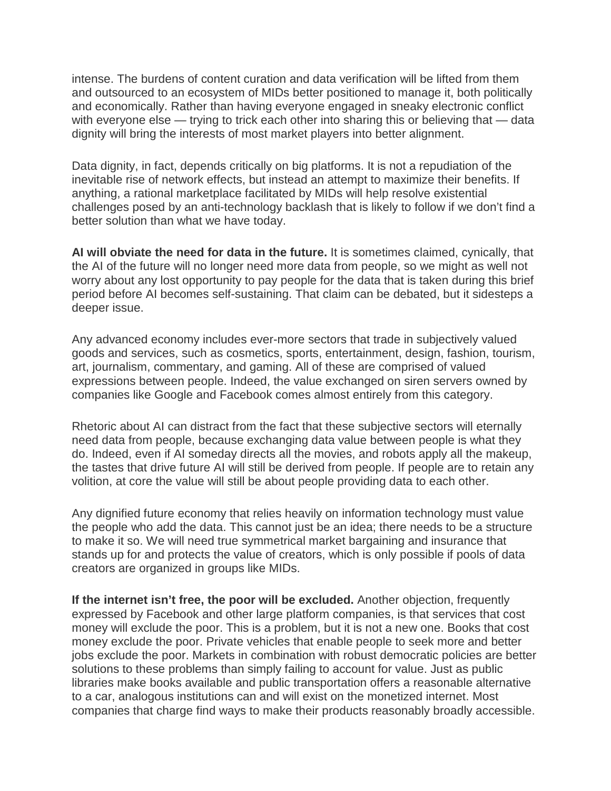intense. The burdens of content curation and data verification will be lifted from them and outsourced to an ecosystem of MIDs better positioned to manage it, both politically and economically. Rather than having everyone engaged in sneaky electronic conflict with everyone else — trying to trick each other into sharing this or believing that — data dignity will bring the interests of most market players into better alignment.

Data dignity, in fact, depends critically on big platforms. It is not a repudiation of the inevitable rise of network effects, but instead an attempt to maximize their benefits. If anything, a rational marketplace facilitated by MIDs will help resolve existential challenges posed by an anti-technology backlash that is likely to follow if we don't find a better solution than what we have today.

**AI will obviate the need for data in the future.** It is sometimes claimed, cynically, that the AI of the future will no longer need more data from people, so we might as well not worry about any lost opportunity to pay people for the data that is taken during this brief period before AI becomes self-sustaining. That claim can be debated, but it sidesteps a deeper issue.

Any advanced economy includes ever-more sectors that trade in subjectively valued goods and services, such as cosmetics, sports, entertainment, design, fashion, tourism, art, journalism, commentary, and gaming. All of these are comprised of valued expressions between people. Indeed, the value exchanged on siren servers owned by companies like Google and Facebook comes almost entirely from this category.

Rhetoric about AI can distract from the fact that these subjective sectors will eternally need data from people, because exchanging data value between people is what they do. Indeed, even if AI someday directs all the movies, and robots apply all the makeup, the tastes that drive future AI will still be derived from people. If people are to retain any volition, at core the value will still be about people providing data to each other.

Any dignified future economy that relies heavily on information technology must value the people who add the data. This cannot just be an idea; there needs to be a structure to make it so. We will need true symmetrical market bargaining and insurance that stands up for and protects the value of creators, which is only possible if pools of data creators are organized in groups like MIDs.

**If the internet isn't free, the poor will be excluded.** Another objection, frequently expressed by Facebook and other large platform companies, is that services that cost money will exclude the poor. This is a problem, but it is not a new one. Books that cost money exclude the poor. Private vehicles that enable people to seek more and better jobs exclude the poor. Markets in combination with robust democratic policies are better solutions to these problems than simply failing to account for value. Just as public libraries make books available and public transportation offers a reasonable alternative to a car, analogous institutions can and will exist on the monetized internet. Most companies that charge find ways to make their products reasonably broadly accessible.